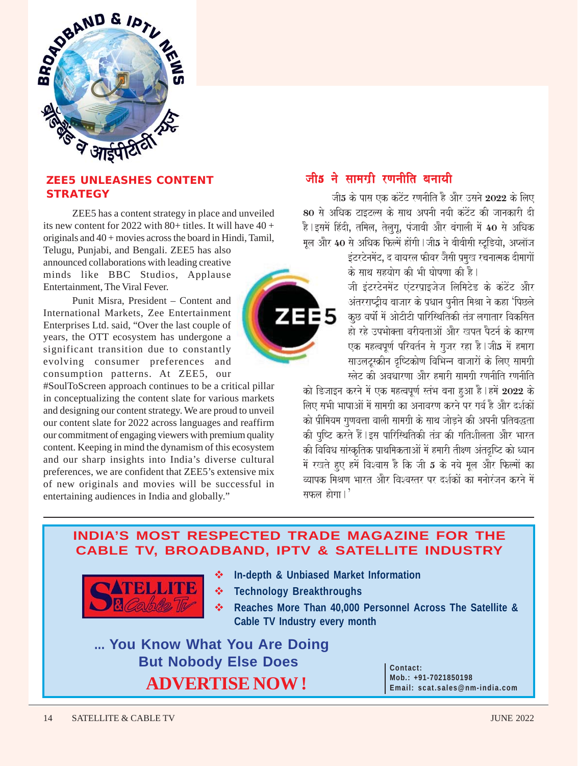

### **ZEE5 UNLEASHES CONTENT STRATEGY**

ZEE5 has a content strategy in place and unveiled its new content for 2022 with 80+ titles. It will have  $40 +$ originals and 40 + movies across the board in Hindi, Tamil, Telugu, Punjabi, and Bengali. ZEE5 has also announced collaborations with leading creative minds like BBC Studios, Applause

Punit Misra, President – Content and International Markets, Zee Entertainment Enterprises Ltd. said, "Over the last couple of years, the OTT ecosystem has undergone a significant transition due to constantly evolving consumer preferences and consumption patterns. At ZEE5, our

Entertainment, The Viral Fever.

#SoulToScreen approach continues to be a critical pillar in conceptualizing the content slate for various markets and designing our content strategy. We are proud to unveil our content slate for 2022 across languages and reaffirm our commitment of engaging viewers with premium quality content. Keeping in mind the dynamism of this ecosystem and our sharp insights into India's diverse cultural preferences, we are confident that ZEE5's extensive mix of new originals and movies will be successful in entertaining audiences in India and globally."

## जीड ने सामगी रणनीति बनायी

जी5 के पास एक कंटेंट रणनीति है और उसने  $2022$  के लिए 80 से अधिक टाइटल्स के साथ अपनी नयी कंटेंट की जानकारी दी है।इसमें हिंदी, तमिल, तेलग, पंजाबी और बंगाली में 40 से अधिक मल और 40 से अधिक फिल्में होंगी।जी5 ने बीबीसी स्टडियो. अप्लॉज

> इंटरटेनमेंट, द वायरल फीवर जैसी प्रमुख रचनात्मक दीमागों <u>के साथ सहयोग की भी घोषणा की है।</u>

> जी इंटरटेनमेंट एंटरप्राइजेज लिमिटेड के कंटेंट और अंतरराष्ट्रीय बाजार के प्रधान पनीत मिश्रा ने कहा 'पिछले कछ वर्षो में ओटीटी पारिस्थितिकी तंत्र लगातार विकसित हो रहे उपभोक्ता वरीयताओं और खपत पैटर्न के कारण एक महत्वपूर्ण परिवर्तन से गुजर रहा है।जी5 में हमारा साउलटस्क्रीन दृष्टिकोण विभिन्न बाजारों के लिए सामग्री स्लेट की अवधारणा और हमारी सामग्री रणनीति रणनीति

को डिजाइन करने में एक महत्वपर्ण स्तंभ बना हुआ है। हमें 2022 के लिए सभी भाषाओं में सामग्री का अनावरण करने पर गर्व है और दर्शकों को प्रीमियम गणवत्ता वाली सामग्री के साथ जोडने की अपनी प्रतिबद्धता की पुष्टि करते हैं।इस पारिस्थितिकी तंत्र की गतिशीलता और भारत की विविध सांस्कृतिक प्राथमिकताओं में हमारी तीक्ष्ण अंतदृष्टि को ध्यान में रखते हुए हमें विश्वास है कि जी 5 के नये मूल और फिल्मों का <u>न्या</u>पक मिश्रण भारत और विश्वस्तर पर दर्शकों का मनोरंजन करने में सफल होगा। $'$ 

### **INDIA'S MOST RESPECTED TRADE MAGAZINE FOR THE CABLE TV, BROADBAND, IPTV & SATELLITE INDUSTRY**



- **In-depth & Unbiased Market Information**
- **Technology Breakthroughs**
- **Reaches More Than 40,000 Personnel Across The Satellite & Cable TV Industry every month**

**... You Know What You Are Doing But Nobody Else Does ADVERTISE NOW !**

**Contact: Mob.: +91-7021850198 Email: scat.sales@nm-india.com**

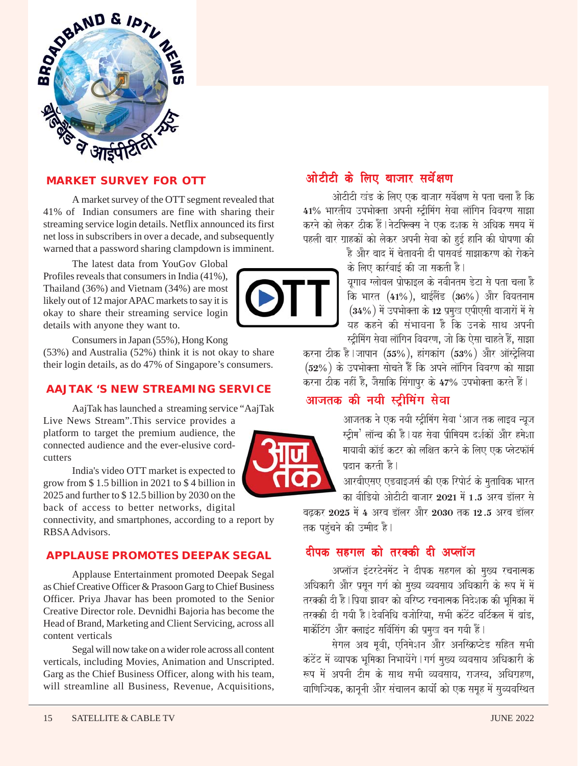

### **MARKET SURVEY FOR OTT**

A market survey of the OTT segment revealed that 41% of Indian consumers are fine with sharing their streaming service login details. Netflix announced its first net loss in subscribers in over a decade, and subsequently warned that a password sharing clampdown is imminent.

The latest data from YouGov Global Profiles reveals that consumers in India (41%), Thailand (36%) and Vietnam (34%) are most likely out of 12 major APAC markets to say it is okay to share their streaming service login details with anyone they want to.

Consumers in Japan (55%), Hong Kong (53%) and Australia (52%) think it is not okay to share their login details, as do 47% of Singapore's consumers.

#### **AAJTAK 'S NEW STREAMING SERVICE**

AajTak has launched a streaming service "AajTak Live News Stream".This service provides a

platform to target the premium audience, the connected audience and the ever-elusive cordcutters

India's video OTT market is expected to grow from \$ 1.5 billion in 2021 to \$ 4 billion in 2025 and further to \$ 12.5 billion by 2030 on the back of access to better networks, digital

connectivity, and smartphones, according to a report by RBSA Advisors.

#### **APPLAUSE PROMOTES DEEPAK SEGAL**

Applause Entertainment promoted Deepak Segal as Chief Creative Officer & Prasoon Garg to Chief Business Officer. Priya Jhavar has been promoted to the Senior Creative Director role. Devnidhi Bajoria has become the Head of Brand, Marketing and Client Servicing, across all content verticals

Segal will now take on a wider role across all content verticals, including Movies, Animation and Unscripted. Garg as the Chief Business Officer, along with his team, will streamline all Business, Revenue, Acquisitions,

# <u>ओटीटी के लिए बाजार सर्वेक्षण</u>

ओटीटी खंड के लिए एक बाजार सर्वेक्षण से पता चला है कि 41% भारतीय उपभोक्ता अपनी स्ट्रीमिंग सेवा लॉगिन विवरण साझा करने को लेकर ठीक हैं।नेटफ्ल्क्स ने एक दशक से अधिक समय में पहली बार ग्राहकों को लेकर अपनी सेवा को हुई हानि की घोषणा की

है और बाद में चेतावनी दी पासवर्ड साझाकरण को रोकने के लिए कार्रवाई की जा सकती है।

यगाव ग्लोबल प्रोफाइल के नवीनतम डेटा से पता चला है  $\overline{a}$  भारत (41%), थाईलैंड (36%) और वियतनाम  $(34\%)$  में उपभोक्ता के 12 प्रमख एपीएसी बाजारों में से यह कहने की संभावना है कि उनके साथ अपनी स्ट्रीमिंग सेवा लॉगिन विवरण, जो कि ऐसा चाहते हैं, साझा

करना ठीक है।जापान (55%), हांगकांग (53%) और ऑस्ट्रेलिया  $(52\%)$  के उपभोक्ता सोचते हैं कि अपने लॉगिन विवरण को साझा करना ठीक नहीं है, जैसाकि सिंगापुर के 47% उपभोक्ता करते हैं।

## आजतक की नयी स्ट्रीमिंग सेवा



आजतक ने एक नयी स्ट्रीमिंग सेवा 'आज तक लाइव न्युज स्टीम $^{\prime}$  लॉन्च की है | यह सेवा प्रीमियम दर्शकों और हमेशा मायावी कॉर्ड कटर को लक्षित करने के लिए एक प्लेटफॉर्म पदान करती है।

आरबीएसए एडवाइजर्स की एक रिपोर्ट के मताबिक भारत का वीडियो ओटीटी बाजार 2021 में 1.5 अरब डॉलर से

बद्धकर 2025 में 4 अरब डॉलर और 2030 तक 12.5 अरब डॉलर तक पहुंचने की उम्मीद है।

## वीपक सहगल को तरक्की दी अप्लॉज

अप्लॉज इंटरटेनमेंट ने दीपक सहगल को मख्य रचनात्मक अधिकारी और प्रसून गर्ग को मुख्य व्यवसाय अधिकारी के रूप में में तरक्की दी है | पिया झावर को वरिष्ठ रचनात्मक निदेशक की भमिका में तरक्की दी गयी है।देवनिधि बजोरिया, सभी कंटेंट वर्टिकल में बांड, मार्केटिंग और क्लाइंट सर्विसिंग की प्रमख बन गयी हैं।

सेगल अब मूवी, एनिमेशन और अनस्क्रिप्टेड सहित सभी कंटेंट में व्यापक भमिका निभायेंगे । गर्ग मख्य व्यवसाय अधिकारी के रूप में अपनी टीम के साथ सभी व्यवसाय, राजस्व, अधिग्रहण, वाणिज्यिक, काननी और संचालन कार्यों को एक समह में सव्यवस्थित